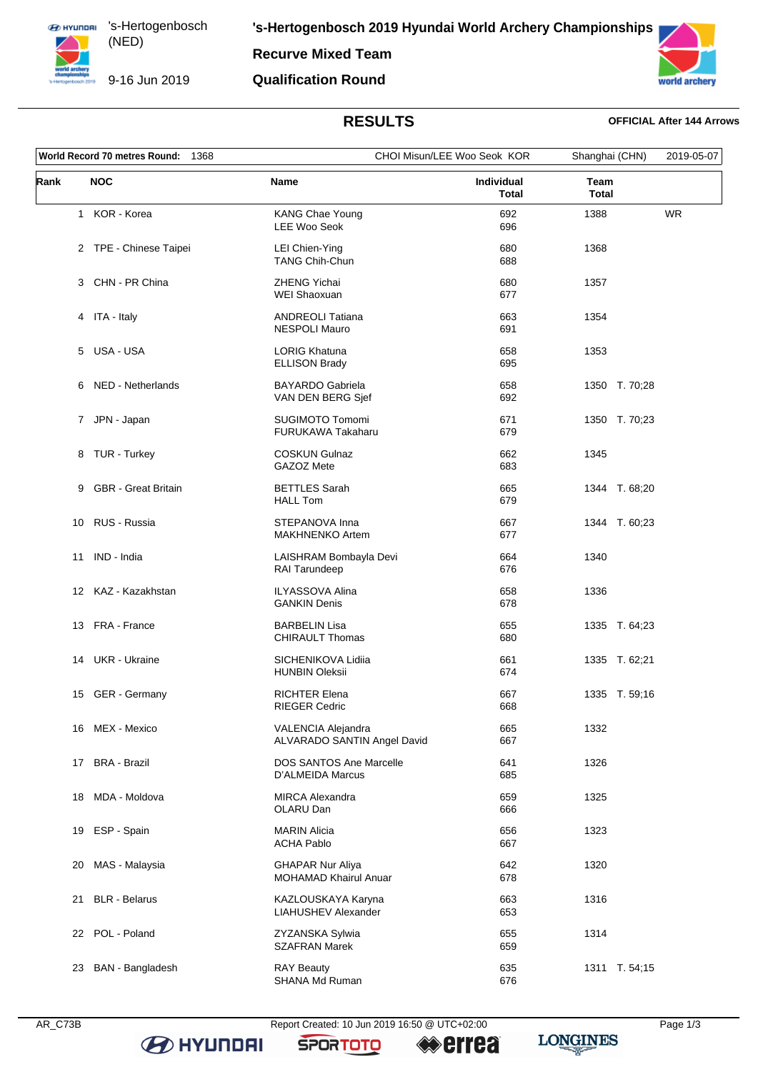

**'s-Hertogenbosch 2019 Hyundai World Archery Championships**

**Recurve Mixed Team**

## **Qualification Round**



# **RESULTS OFFICIAL After 144 Arrows**

| World Record 70 metres Round:<br>1368 |                            |                                                   | CHOI Misun/LEE Woo Seok KOR |                      | 2019-05-07 |
|---------------------------------------|----------------------------|---------------------------------------------------|-----------------------------|----------------------|------------|
| Rank                                  | <b>NOC</b>                 | <b>Name</b>                                       | Individual<br><b>Total</b>  | Team<br><b>Total</b> |            |
|                                       | 1 KOR - Korea              | <b>KANG Chae Young</b><br><b>LEE Woo Seok</b>     | 692<br>696                  | 1388                 | <b>WR</b>  |
|                                       | 2 TPE - Chinese Taipei     | LEI Chien-Ying<br><b>TANG Chih-Chun</b>           | 680<br>688                  | 1368                 |            |
|                                       | 3 CHN - PR China           | <b>ZHENG Yichai</b><br>WEI Shaoxuan               | 680<br>677                  | 1357                 |            |
|                                       | 4 ITA - Italy              | <b>ANDREOLI Tatiana</b><br><b>NESPOLI Mauro</b>   | 663<br>691                  | 1354                 |            |
|                                       | 5 USA - USA                | <b>LORIG Khatuna</b><br><b>ELLISON Brady</b>      | 658<br>695                  | 1353                 |            |
| 6                                     | NED - Netherlands          | <b>BAYARDO Gabriela</b><br>VAN DEN BERG Sjef      | 658<br>692                  | 1350 T. 70;28        |            |
|                                       | JPN - Japan<br>7           | <b>SUGIMOTO Tomomi</b><br>FURUKAWA Takaharu       | 671<br>679                  | 1350 T. 70;23        |            |
| 8                                     | TUR - Turkey               | <b>COSKUN Gulnaz</b><br>GAZOZ Mete                | 662<br>683                  | 1345                 |            |
| 9                                     | <b>GBR</b> - Great Britain | <b>BETTLES Sarah</b><br><b>HALL Tom</b>           | 665<br>679                  | 1344 T. 68,20        |            |
|                                       | 10 RUS - Russia            | STEPANOVA Inna<br><b>MAKHNENKO Artem</b>          | 667<br>677                  | 1344 T. 60;23        |            |
| 11                                    | IND - India                | LAISHRAM Bombayla Devi<br>RAI Tarundeep           | 664<br>676                  | 1340                 |            |
|                                       | 12 KAZ - Kazakhstan        | <b>ILYASSOVA Alina</b><br><b>GANKIN Denis</b>     | 658<br>678                  | 1336                 |            |
|                                       | 13 FRA - France            | <b>BARBELIN Lisa</b><br><b>CHIRAULT Thomas</b>    | 655<br>680                  | 1335 T. 64;23        |            |
|                                       | 14 UKR - Ukraine           | SICHENIKOVA Lidiia<br><b>HUNBIN Oleksii</b>       | 661<br>674                  | 1335 T. 62;21        |            |
| 15                                    | GER - Germany              | <b>RICHTER Elena</b><br><b>RIEGER Cedric</b>      | 667<br>668                  | 1335 T. 59;16        |            |
|                                       | 16 MEX - Mexico            | VALENCIA Alejandra<br>ALVARADO SANTIN Angel David | 665<br>667                  | 1332                 |            |
| 17                                    | <b>BRA - Brazil</b>        | DOS SANTOS Ane Marcelle<br>D'ALMEIDA Marcus       | 641<br>685                  | 1326                 |            |
|                                       | 18 MDA - Moldova           | <b>MIRCA Alexandra</b><br>OLARU Dan               | 659<br>666                  | 1325                 |            |
| 19                                    | ESP - Spain                | <b>MARIN Alicia</b><br><b>ACHA Pablo</b>          | 656<br>667                  | 1323                 |            |
| 20                                    | MAS - Malaysia             | <b>GHAPAR Nur Aliya</b><br>MOHAMAD Khairul Anuar  | 642<br>678                  | 1320                 |            |
| 21                                    | <b>BLR</b> - Belarus       | KAZLOUSKAYA Karyna<br>LIAHUSHEV Alexander         | 663<br>653                  | 1316                 |            |
|                                       | 22 POL - Poland            | ZYZANSKA Sylwia<br><b>SZAFRAN Marek</b>           | 655<br>659                  | 1314                 |            |
| 23                                    | BAN - Bangladesh           | <b>RAY Beauty</b><br>SHANA Md Ruman               | 635<br>676                  | 1311 T. 54;15        |            |

**B** HYUNDAI

AR\_C73B Report Created: 10 Jun 2019 16:50 @ UTC+02:00 Page 1/3

**SPORTOTO** 

**errea** 

**LONGINES**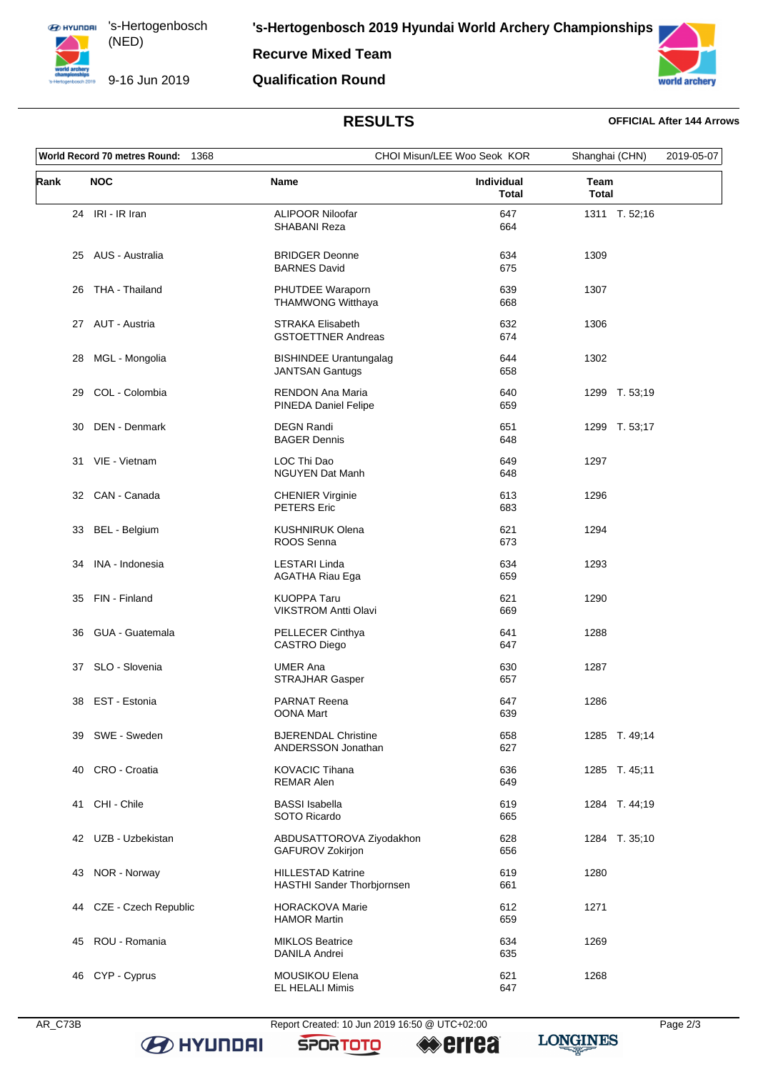

**Recurve Mixed Team**

## **Qualification Round**



# **RESULTS OFFICIAL After 144 Arrows**

| World Record 70 metres Round:<br>1368 |                      |                                                         | CHOI Misun/LEE Woo Seok KOR |                      | 2019-05-07 |
|---------------------------------------|----------------------|---------------------------------------------------------|-----------------------------|----------------------|------------|
| Rank                                  | <b>NOC</b>           | Name                                                    | Individual<br><b>Total</b>  | Team<br><b>Total</b> |            |
|                                       | 24 IRI - IR Iran     | <b>ALIPOOR Niloofar</b><br><b>SHABANI Reza</b>          | 647<br>664                  | 1311 T. 52;16        |            |
|                                       | 25 AUS - Australia   | <b>BRIDGER Deonne</b><br><b>BARNES David</b>            | 634<br>675                  | 1309                 |            |
| 26                                    | THA - Thailand       | PHUTDEE Waraporn<br><b>THAMWONG Witthaya</b>            | 639<br>668                  | 1307                 |            |
|                                       | 27 AUT - Austria     | <b>STRAKA Elisabeth</b><br><b>GSTOETTNER Andreas</b>    | 632<br>674                  | 1306                 |            |
| 28                                    | MGL - Mongolia       | <b>BISHINDEE Urantungalag</b><br><b>JANTSAN Gantugs</b> | 644<br>658                  | 1302                 |            |
| 29                                    | COL - Colombia       | <b>RENDON Ana Maria</b><br>PINEDA Daniel Felipe         | 640<br>659                  | 1299 T. 53;19        |            |
| 30                                    | DEN - Denmark        | <b>DEGN Randi</b><br><b>BAGER Dennis</b>                | 651<br>648                  | 1299 T. 53;17        |            |
|                                       | 31 VIE - Vietnam     | LOC Thi Dao<br>NGUYEN Dat Manh                          | 649<br>648                  | 1297                 |            |
|                                       | 32 CAN - Canada      | <b>CHENIER Virginie</b><br><b>PETERS Eric</b>           | 613<br>683                  | 1296                 |            |
| 33                                    | BEL - Belgium        | <b>KUSHNIRUK Olena</b><br>ROOS Senna                    | 621<br>673                  | 1294                 |            |
| 34                                    | INA - Indonesia      | <b>LESTARI Linda</b><br><b>AGATHA Riau Ega</b>          | 634<br>659                  | 1293                 |            |
| 35                                    | FIN - Finland        | <b>KUOPPA Taru</b><br><b>VIKSTROM Antti Olavi</b>       | 621<br>669                  | 1290                 |            |
| 36                                    | GUA - Guatemala      | PELLECER Cinthya<br><b>CASTRO Diego</b>                 | 641<br>647                  | 1288                 |            |
| 37                                    | SLO - Slovenia       | <b>UMER Ana</b><br><b>STRAJHAR Gasper</b>               | 630<br>657                  | 1287                 |            |
| 38                                    | EST - Estonia        | <b>PARNAT Reena</b><br>OONA Mart                        | 647<br>639                  | 1286                 |            |
|                                       | 39 SWE - Sweden      | <b>BJERENDAL Christine</b><br>ANDERSSON Jonathan        | 658<br>627                  | 1285 T. 49;14        |            |
| 40                                    | CRO - Croatia        | <b>KOVACIC Tihana</b><br><b>REMAR Alen</b>              | 636<br>649                  | 1285 T. 45;11        |            |
|                                       | 41 CHI - Chile       | <b>BASSI</b> Isabella<br>SOTO Ricardo                   | 619<br>665                  | 1284 T. 44;19        |            |
|                                       | 42 UZB - Uzbekistan  | ABDUSATTOROVA Ziyodakhon<br>GAFUROV Zokirjon            | 628<br>656                  | 1284 T. 35;10        |            |
| 43                                    | NOR - Norway         | <b>HILLESTAD Katrine</b><br>HASTHI Sander Thorbjornsen  | 619<br>661                  | 1280                 |            |
| 44                                    | CZE - Czech Republic | <b>HORACKOVA Marie</b><br><b>HAMOR Martin</b>           | 612<br>659                  | 1271                 |            |
| 45                                    | ROU - Romania        | <b>MIKLOS Beatrice</b><br><b>DANILA Andrei</b>          | 634<br>635                  | 1269                 |            |
|                                       | 46 CYP - Cyprus      | MOUSIKOU Elena<br>EL HELALI Mimis                       | 621<br>647                  | 1268                 |            |

**B** HYUNDAI

AR\_C73B Report Created: 10 Jun 2019 16:50 @ UTC+02:00 Page 2/3

**SPORTOTO** 

**errea** 

**LONGINES**